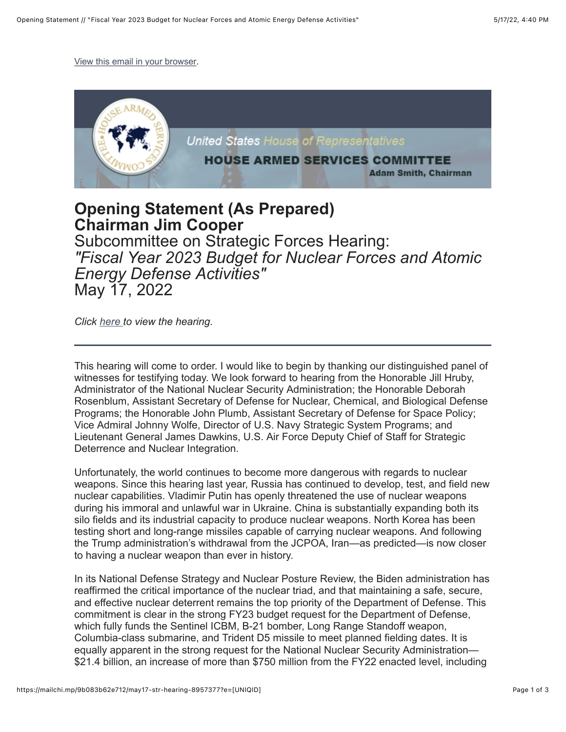[View this email in your browser.](https://mailchi.mp/9b083b62e712/may17-str-hearing-8957377?e=%5BUNIQID%5D)



## **Opening Statement (As Prepared) Chairman Jim Cooper** Subcommittee on Strategic Forces Hearing: *"Fiscal Year 2023 Budget for Nuclear Forces and Atomic Energy Defense Activities"* May 17, 2022

*Click [here](https://armedservices.house.gov/hearings?ID=CFC3BCED-3237-4AD7-A2FB-F028611D4BD8) to view the hearing.*

This hearing will come to order. I would like to begin by thanking our distinguished panel of witnesses for testifying today. We look forward to hearing from the Honorable Jill Hruby, Administrator of the National Nuclear Security Administration; the Honorable Deborah Rosenblum, Assistant Secretary of Defense for Nuclear, Chemical, and Biological Defense Programs; the Honorable John Plumb, Assistant Secretary of Defense for Space Policy; Vice Admiral Johnny Wolfe, Director of U.S. Navy Strategic System Programs; and Lieutenant General James Dawkins, U.S. Air Force Deputy Chief of Staff for Strategic Deterrence and Nuclear Integration.

Unfortunately, the world continues to become more dangerous with regards to nuclear weapons. Since this hearing last year, Russia has continued to develop, test, and field new nuclear capabilities. Vladimir Putin has openly threatened the use of nuclear weapons during his immoral and unlawful war in Ukraine. China is substantially expanding both its silo fields and its industrial capacity to produce nuclear weapons. North Korea has been testing short and long-range missiles capable of carrying nuclear weapons. And following the Trump administration's withdrawal from the JCPOA, Iran—as predicted—is now closer to having a nuclear weapon than ever in history.

In its National Defense Strategy and Nuclear Posture Review, the Biden administration has reaffirmed the critical importance of the nuclear triad, and that maintaining a safe, secure, and effective nuclear deterrent remains the top priority of the Department of Defense. This commitment is clear in the strong FY23 budget request for the Department of Defense, which fully funds the Sentinel ICBM, B-21 bomber, Long Range Standoff weapon, Columbia-class submarine, and Trident D5 missile to meet planned fielding dates. It is equally apparent in the strong request for the National Nuclear Security Administration— \$21.4 billion, an increase of more than \$750 million from the FY22 enacted level, including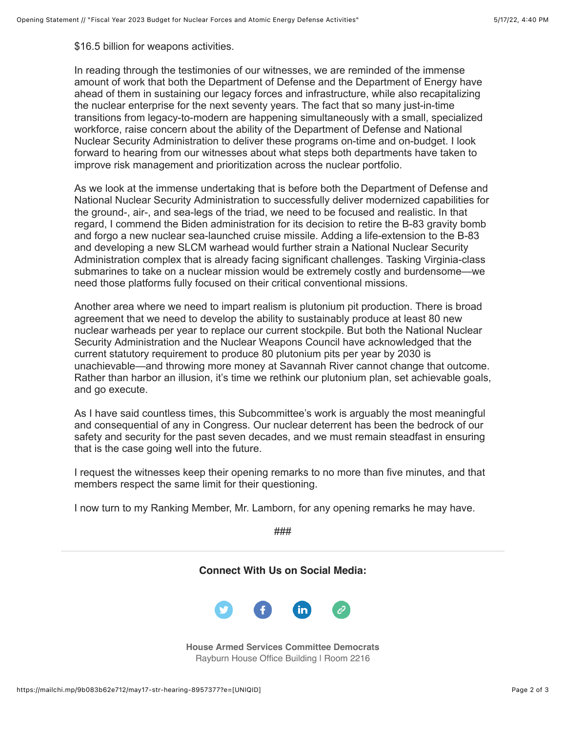\$16.5 billion for weapons activities.

In reading through the testimonies of our witnesses, we are reminded of the immense amount of work that both the Department of Defense and the Department of Energy have ahead of them in sustaining our legacy forces and infrastructure, while also recapitalizing the nuclear enterprise for the next seventy years. The fact that so many just-in-time transitions from legacy-to-modern are happening simultaneously with a small, specialized workforce, raise concern about the ability of the Department of Defense and National Nuclear Security Administration to deliver these programs on-time and on-budget. I look forward to hearing from our witnesses about what steps both departments have taken to improve risk management and prioritization across the nuclear portfolio.

As we look at the immense undertaking that is before both the Department of Defense and National Nuclear Security Administration to successfully deliver modernized capabilities for the ground-, air-, and sea-legs of the triad, we need to be focused and realistic. In that regard, I commend the Biden administration for its decision to retire the B-83 gravity bomb and forgo a new nuclear sea-launched cruise missile. Adding a life-extension to the B-83 and developing a new SLCM warhead would further strain a National Nuclear Security Administration complex that is already facing significant challenges. Tasking Virginia-class submarines to take on a nuclear mission would be extremely costly and burdensome—we need those platforms fully focused on their critical conventional missions.

Another area where we need to impart realism is plutonium pit production. There is broad agreement that we need to develop the ability to sustainably produce at least 80 new nuclear warheads per year to replace our current stockpile. But both the National Nuclear Security Administration and the Nuclear Weapons Council have acknowledged that the current statutory requirement to produce 80 plutonium pits per year by 2030 is unachievable—and throwing more money at Savannah River cannot change that outcome. Rather than harbor an illusion, it's time we rethink our plutonium plan, set achievable goals, and go execute.

As I have said countless times, this Subcommittee's work is arguably the most meaningful and consequential of any in Congress. Our nuclear deterrent has been the bedrock of our safety and security for the past seven decades, and we must remain steadfast in ensuring that is the case going well into the future.

I request the witnesses keep their opening remarks to no more than five minutes, and that members respect the same limit for their questioning.

I now turn to my Ranking Member, Mr. Lamborn, for any opening remarks he may have.

###

**Connect With Us on Social Media:**



**House Armed Services Committee Democrats** Rayburn House Office Building | Room 2216